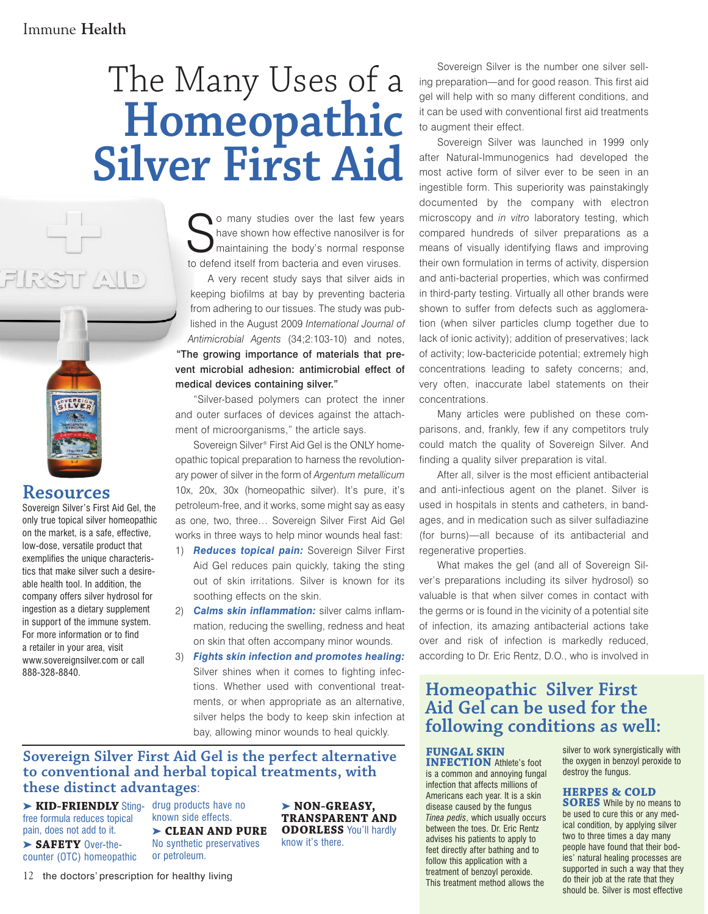# The Many Uses of a **Homeopathic Silver First Aid**

So many studies over the last few years<br>have shown how effective nanosilver is for<br>maintaining the body's normal response<br>to defend itself from betaria and gues viruses. have shown how effective nanosilver is for maintaining the body's normal response to defend itself from bacteria and even viruses.

A very recent study says that silver aids in keeping biofilms at bay by preventing bacteria from adhering to our tissues. The study was published in the August 2009 *International Journal of Antimicrobial Agents* (34;2:103-10) and notes, "The growing importance of materials that prevent microbial adhesion: antimicrobial effect of medical devices containing silver."

"Silver-based polymers can protect the inner and outer surfaces of devices against the attachment of microorganisms," the article says.

Sovereign Silver ® First Aid Gel is the ONLY homeopathic topical preparation to harness the revolutionary power of silver in the form of *Argentum metallicum* 10x, 20x, 30x (homeopathic silver). It's pure, it's petroleum-free, and it works, some might say as easy as one, two, three… Sovereign Silver First Aid Gel works in three ways to help minor wounds heal fast:

- 1) *Reduces topical pain:* Sovereign Silver First Aid Gel reduces pain quickly, taking the sting out of skin irritations. Silver is known for its soothing effects on the skin.
- 2) *Calms skin inflammation:* silver calms inflammation, reducing the swelling, redness and heat on skin that often accompany minor wounds.
- 3) *Fights skin infection and promotes healing:* Silver shines when it comes to fighting infections. Whether used with conventional treatments, or when appropriate as an alternative, silver helps the body to keep skin infection at bay, allowing minor wounds to heal quickly.

## **Sovereign Silver First Aid Gel is the perfect alternative to conventional and herbal topical treatments, with these distinct advantages**:

➤ **KID-FRIENDLY** Sting-drug products have no free formula reduces topical pain, does not add to it.

**Resources**

888-328-8840.

Sovereign Silver's First Aid Gel, the only true topical silver homeopathic on the market, is a safe, effective, low-dose, versatile product that exemplifies the unique characteristics that make silver such a desireable health tool. In addition, the company offers silver hydrosol for ingestion as a dietary supplement in support of the immune system. For more information or to find a retailer in your area, visit www.sovereignsilver.com or call

 $\Box$ 

➤ **SAFETY** Over-thecounter (OTC) homeopathic

known side effects. ➤ **CLEAN AND PURE** No synthetic preservatives or petroleum.

12 the doctors' prescription for healthy living

➤ **NON-GREASY, TRANSPARENT AND ODORLESS** You'll hardly know it's there.

Sovereign Silver is the number one silver selling preparation—and for good reason. This first aid gel will help with so many different conditions, and it can be used with conventional first aid treatments to augment their effect.

Sovereign Silver was launched in 1999 only after Natural-Immunogenics had developed the most active form of silver ever to be seen in an ingestible form. This superiority was painstakingly documented by the company with electron microscopy and *in vitro* laboratory testing, which compared hundreds of silver preparations as a means of visually identifying flaws and improving their own formulation in terms of activity, dispersion and anti-bacterial properties, which was confirmed in third-party testing. Virtually all other brands were shown to suffer from defects such as agglomeration (when silver particles clump together due to lack of ionic activity); addition of preservatives; lack of activity; low-bactericide potential; extremely high concentrations leading to safety concerns; and, very often, inaccurate label statements on their concentrations.

Many articles were published on these comparisons, and, frankly, few if any competitors truly could match the quality of Sovereign Silver. And finding a quality silver preparation is vital.

After all, silver is the most efficient antibacterial and anti-infectious agent on the planet. Silver is used in hospitals in stents and catheters, in bandages, and in medication such as silver sulfadiazine (for burns)—all because of its antibacterial and regenerative properties.

What makes the gel (and all of Sovereign Silver's preparations including its silver hydrosol) so valuable is that when silver comes in contact with the germs or is found in the vicinity of a potential site of infection, its amazing antibacterial actions take over and risk of infection is markedly reduced, according to Dr. Eric Rentz, D.O., who is involved in

## **Homeopathic Silver First Aid Gel can be used for the following conditions as well:**

#### **FUNGAL SKIN**

**INFECTION** Athlete's foot is a common and annoying fungal infection that affects millions of Americans each year. It is a skin disease caused by the fungus *Tinea pedis*, which usually occurs between the toes. Dr. Eric Rentz advises his patients to apply to feet directly after bathing and to follow this application with a treatment of benzoyl peroxide. This treatment method allows the

silver to work synergistically with the oxygen in benzoyl peroxide to destroy the fungus.

#### **HERPES & COLD**

**SORES** While by no means to be used to cure this or any medical condition, by applying silver two to three times a day many people have found that their bodies' natural healing processes are supported in such a way that they do their job at the rate that they should be. Silver is most effective